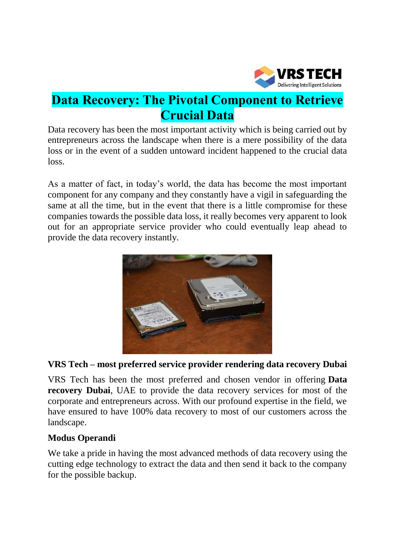

# **Data Recovery: The Pivotal Component to Retrieve Crucial Data**

Data recovery has been the most important activity which is being carried out by entrepreneurs across the landscape when there is a mere possibility of the data loss or in the event of a sudden untoward incident happened to the crucial data loss.

As a matter of fact, in today's world, the data has become the most important component for any company and they constantly have a vigil in safeguarding the same at all the time, but in the event that there is a little compromise for these companies towards the possible data loss, it really becomes very apparent to look out for an appropriate service provider who could eventually leap ahead to provide the data recovery instantly.



## **VRS Tech – most preferred service provider rendering data recovery Dubai**

VRS Tech has been the most preferred and chosen vendor in offering **[Data](http://www.vrstech.com/data-recovery-services.html) [recovery](http://www.vrstech.com/data-recovery-services.html) Dubai**, UAE to provide the data recovery services for most of the corporate and entrepreneurs across. With our profound expertise in the field, we have ensured to have 100% data recovery to most of our customers across the landscape.

#### **Modus Operandi**

We take a pride in having the most advanced methods of data recovery using the cutting edge technology to extract the data and then send it back to the company for the possible backup.